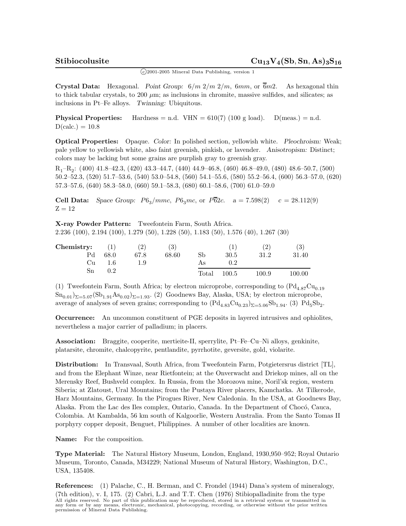$\binom{c}{2001-2005}$  Mineral Data Publishing, version 1

**Crystal Data:** Hexagonal. *Point Group:* 6*/m* 2*/m* 2*/m,* 6*mm,* or 6*m*2*.* As hexagonal thin to thick tabular crystals, to 200 *µ*m; as inclusions in chromite, massive sulfides, and silicates; as inclusions in Pt–Fe alloys. *Twinning:* Ubiquitous.

**Physical Properties:** Hardness = n.d.  $VHN = 610(7) (100 g load)$ .  $D(meas.) = n.d.$  $D(calc.) = 10.8$ 

**Optical Properties:** Opaque. *Color:* In polished section, yellowish white. *Pleochroism:* Weak; pale yellow to yellowish white, also faint greenish, pinkish, or lavender. *Anisotropism:* Distinct; colors may be lacking but some grains are purplish gray to greenish gray.

 $R_1-R_2$ : (400) 41.8–42.3, (420) 43.3–44.7, (440) 44.9–46.8, (460) 46.8–49.0, (480) 48.6–50.7, (500) 50.2–52.3, (520) 51.7–53.6, (540) 53.0–54.8, (560) 54.1–55.6, (580) 55.2–56.4, (600) 56.3–57.0, (620) 57.3–57.6, (640) 58.3–58.0, (660) 59.1–58.3, (680) 60.1–58.6, (700) 61.0–59.0

**Cell Data:** *Space Group:*  $P6_3/mmc$ ,  $P6_3mc$ , or  $P\overline{62}c$ .  $a = 7.598(2)$   $c = 28.112(9)$  $Z = 12$ 

**X-ray Powder Pattern:** Tweefontein Farm, South Africa. 2.236 (100), 2.194 (100), 1.279 (50), 1.228 (50), 1.183 (50), 1.576 (40), 1.267 (30)

| Chemistry:     | (1)  | $^{\prime}2)$ | (3)   |       |         | (2)       | (3)        |
|----------------|------|---------------|-------|-------|---------|-----------|------------|
| P <sub>d</sub> | 68.0 | 67.8          | 68.60 | Sb    | 30.5    | 31.2      | 31.40      |
| Сu             | 1.6  | 1.9           |       | As    | $0.2\,$ |           |            |
| Sn             | 0.2  |               |       | Total | 100.5   | $100.9\,$ | $100.00\,$ |

(1) Tweefontein Farm, South Africa; by electron microprobe, corresponding to  $(Pd_{4.87}Cu_{0.19})$  $\text{Sn}_{0.01}\right\rbrace_{\Sigma=5.07}(\text{Sb}_{1.91}\text{As}_{0.02})_{\Sigma=1.93}$ . (2) Goodnews Bay, Alaska, USA; by electron microprobe, average of analyses of seven grains; corresponding to  $(\text{Pd}_{4.83}\text{Cu}_{0.23})_{\Sigma=5.06}\text{Sb}_{1.94}$ . (3)  $\text{Pd}_{5}\text{Sb}_{2}$ .

**Occurrence:** An uncommon constituent of PGE deposits in layered intrusives and ophiolites, nevertheless a major carrier of palladium; in placers.

**Association:** Braggite, cooperite, mertieite-II, sperrylite, Pt–Fe–Cu–Ni alloys, genkinite, platarsite, chromite, chalcopyrite, pentlandite, pyrrhotite, geversite, gold, violarite.

**Distribution:** In Transvaal, South Africa, from Tweefontein Farm, Potgietersrus district [TL], and from the Elephant Winze, near Rietfontein; at the Onverwacht and Driekop mines, all on the Merensky Reef, Bushveld complex. In Russia, from the Morozova mine, Noril'sk region, western Siberia; at Zlatoust, Ural Mountains; from the Pustaya River placers, Kamchatka. At Tilkerode, Harz Mountains, Germany. In the Pirogues River, New Caledonia. In the USA, at Goodnews Bay, Alaska. From the Lac des Iles complex, Ontario, Canada. In the Department of Chocó, Cauca, Colombia. At Kambalda, 56 km south of Kalgoorlie, Western Australia. From the Santo Tomas II porphyry copper deposit, Benguet, Philippines. A number of other localities are known.

**Name:** For the composition.

**Type Material:** The Natural History Museum, London, England, 1930,950–952; Royal Ontario Museum, Toronto, Canada, M34229; National Museum of Natural History, Washington, D.C., USA, 135408.

**References:** (1) Palache, C., H. Berman, and C. Frondel (1944) Dana's system of mineralogy, (7th edition), v. I, 175. (2) Cabri, L.J. and T.T. Chen (1976) Stibiopalladinite from the type All rights reserved. No part of this publication may be reproduced, stored in a retrieval system or transmitted in<br>any form or by any means, electronic, mechanical, photocopying, recording, or otherwise without the prior w permission of Mineral Data Publishing.